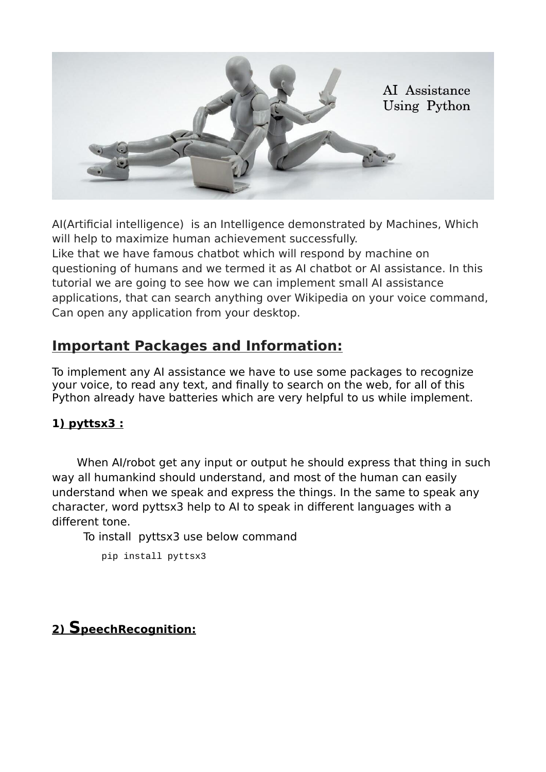

AI(Artificial intelligence) is an Intelligence demonstrated by Machines, Which will help to maximize human achievement successfully. Like that we have famous chatbot which will respond by machine on questioning of humans and we termed it as AI chatbot or AI assistance. In this tutorial we are going to see how we can implement small AI assistance applications, that can search anything over Wikipedia on your voice command, Can open any application from your desktop.

# **Important Packages and Information:**

To implement any AI assistance we have to use some packages to recognize your voice, to read any text, and finally to search on the web, for all of this Python already have batteries which are very helpful to us while implement.

## **1 ) pyttsx3 :**

When AI/robot get any input or output he should express that thing in such way all humankind should understand, and most of the human can easily understand when we speak and express the things. In the same to speak any character, word pyttsx3 help to AI to speak in different languages with a different tone.

To install pyttsx3 use below command

pip install pyttsx3

# **2) S peechRecognition:**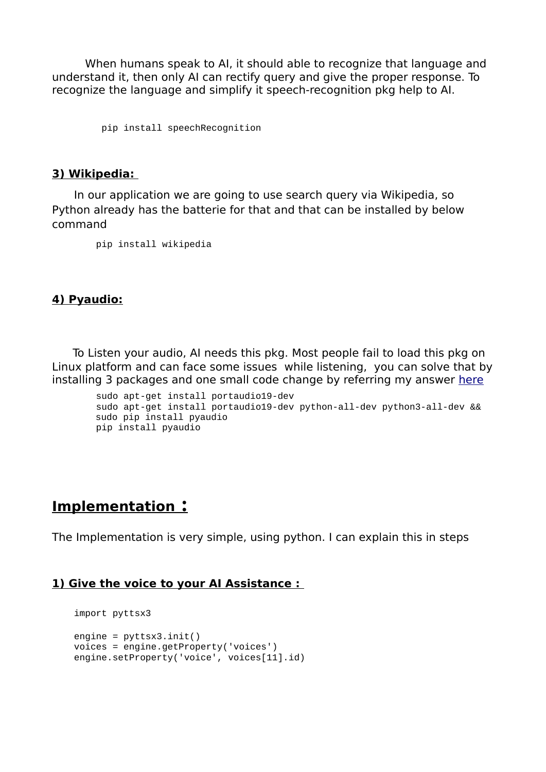When humans speak to AI, it should able to recognize that language and understand it, then only AI can rectify query and give the proper response. To recognize the language and simplify it speech-recognition pkg help to AI.

pip install speechRecognition

#### **3) Wikipedia:**

In our application we are going to use search query via Wikipedia, so Python already has the batterie for that and that can be installed by below command

pip install wikipedia

### **4) Pyaudio:**

To Listen your audio, AI needs this pkg. Most people fail to load this pkg on Linux platform and can face some issues while listening, you can solve that by installing 3 packages and one small code change by referring my answer [here](https://github.com/Uberi/speech_recognition/issues/326#issuecomment-657253155)

```
 sudo apt-get install portaudio19-dev 
 sudo apt-get install portaudio19-dev python-all-dev python3-all-dev && 
 sudo pip install pyaudio
 pip install pyaudio
```
## **Implementation :**

The Implementation is very simple, using python. I can explain this in steps

#### **1) Give the voice to your AI Assistance :**

```
 import pyttsx3
 engine = pyttsx3.init()
 voices = engine.getProperty('voices')
engine.setProperty('voice', voices[11].id)
```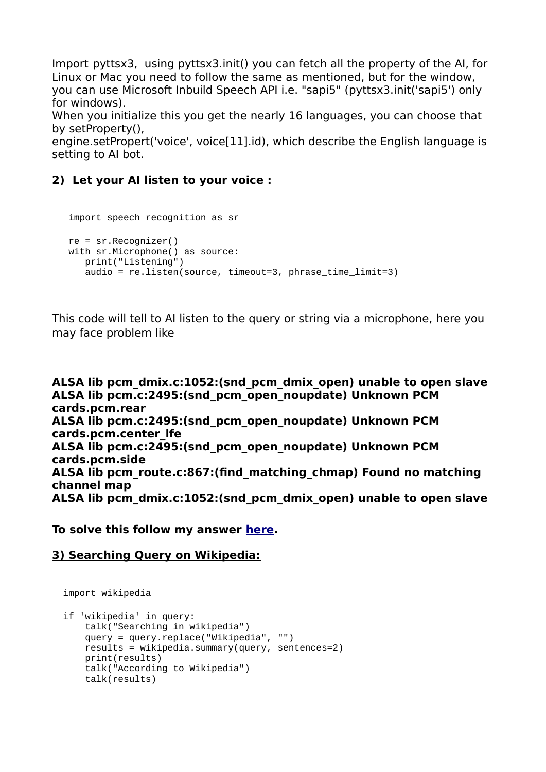Import pyttsx3, using pyttsx3.init() you can fetch all the property of the AI, for Linux or Mac you need to follow the same as mentioned, but for the window, you can use Microsoft Inbuild Speech API i.e. "sapi5" (pyttsx3.init('sapi5') only for windows).

When you initialize this you get the nearly 16 languages, you can choose that by setProperty(),

engine.setPropert('voice', voice[11].id), which describe the English language is setting to AI bot.

### **2) Let your AI listen to your voice :**

```
 import speech_recognition as sr
 re = sr.Recognizer()
with sr.Microphone() as source:
    print("Listening")
    audio = re.listen(source, timeout=3, phrase_time_limit=3)
```
This code will tell to AI listen to the query or string via a microphone, here you may face problem like

```
ALSA lib pcm_dmix.c:1052:(snd_pcm_dmix_open) unable to open slave
ALSA lib pcm.c:2495:(snd_pcm_open_noupdate) Unknown PCM 
cards.pcm.rear
ALSA lib pcm.c:2495:(snd_pcm_open_noupdate) Unknown PCM 
cards.pcm.center_lfe
ALSA lib pcm.c:2495:(snd_pcm_open_noupdate) Unknown PCM 
cards.pcm.side
ALSA lib pcm_route.c:867:(find_matching_chmap) Found no matching 
channel map
ALSA lib pcm_dmix.c:1052:(snd_pcm_dmix_open) unable to open slave
```
**To solve this follow my answer [here.](https://github.com/Uberi/speech_recognition/issues/326#issuecomment-657253155)**

#### **3) Searching Query on Wikipedia:**

```
 import wikipedia
```

```
 if 'wikipedia' in query:
     talk("Searching in wikipedia")
     query = query.replace("Wikipedia", "")
     results = wikipedia.summary(query, sentences=2)
     print(results)
     talk("According to Wikipedia")
     talk(results)
```